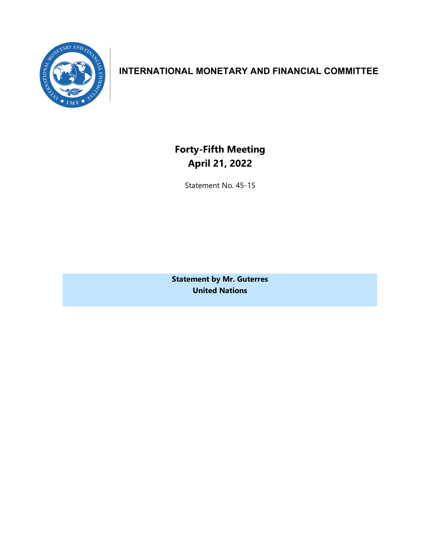

## **INTERNATIONAL MONETARY AND FINANCIAL COMMITTEE**

**Forty-Fifth Meeting April 21, 2022**

Statement No. 45-15

**Statement by Mr. Guterres United Nations**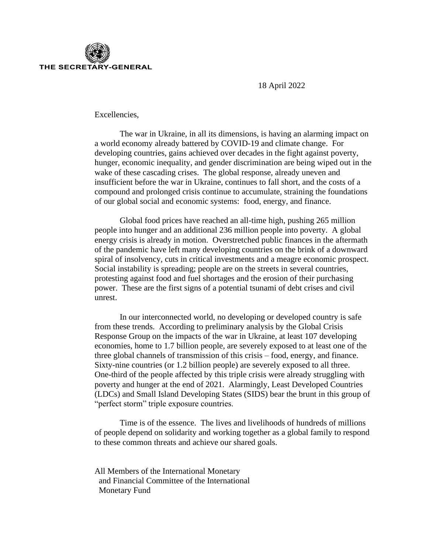

18 April 2022

Excellencies,

The war in Ukraine, in all its dimensions, is having an alarming impact on a world economy already battered by COVID-19 and climate change. For developing countries, gains achieved over decades in the fight against poverty, hunger, economic inequality, and gender discrimination are being wiped out in the wake of these cascading crises. The global response, already uneven and insufficient before the war in Ukraine, continues to fall short, and the costs of a compound and prolonged crisis continue to accumulate, straining the foundations of our global social and economic systems: food, energy, and finance.

Global food prices have reached an all-time high, pushing 265 million people into hunger and an additional 236 million people into poverty. A global energy crisis is already in motion. Overstretched public finances in the aftermath of the pandemic have left many developing countries on the brink of a downward spiral of insolvency, cuts in critical investments and a meagre economic prospect. Social instability is spreading; people are on the streets in several countries, protesting against food and fuel shortages and the erosion of their purchasing power. These are the first signs of a potential tsunami of debt crises and civil unrest.

In our interconnected world, no developing or developed country is safe from these trends. According to preliminary analysis by the Global Crisis Response Group on the impacts of the war in Ukraine, at least 107 developing economies, home to 1.7 billion people, are severely exposed to at least one of the three global channels of transmission of this crisis – food, energy, and finance. Sixty-nine countries (or 1.2 billion people) are severely exposed to all three. One-third of the people affected by this triple crisis were already struggling with poverty and hunger at the end of 2021. Alarmingly, Least Developed Countries (LDCs) and Small Island Developing States (SIDS) bear the brunt in this group of "perfect storm" triple exposure countries.

Time is of the essence. The lives and livelihoods of hundreds of millions of people depend on solidarity and working together as a global family to respond to these common threats and achieve our shared goals.

All Members of the International Monetary and Financial Committee of the International Monetary Fund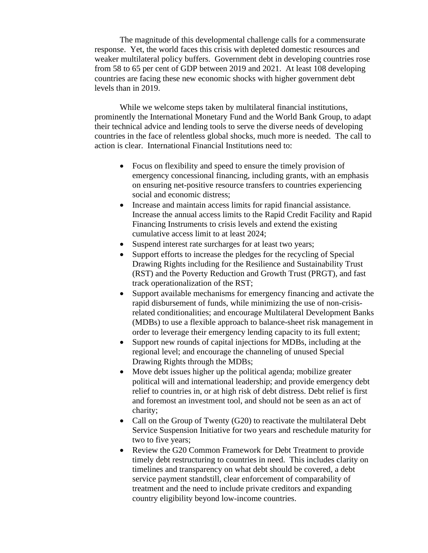The magnitude of this developmental challenge calls for a commensurate response. Yet, the world faces this crisis with depleted domestic resources and weaker multilateral policy buffers. Government debt in developing countries rose from 58 to 65 per cent of GDP between 2019 and 2021. At least 108 developing countries are facing these new economic shocks with higher government debt levels than in 2019.

While we welcome steps taken by multilateral financial institutions, prominently the International Monetary Fund and the World Bank Group, to adapt their technical advice and lending tools to serve the diverse needs of developing countries in the face of relentless global shocks, much more is needed. The call to action is clear. International Financial Institutions need to:

- Focus on flexibility and speed to ensure the timely provision of emergency concessional financing, including grants, with an emphasis on ensuring net-positive resource transfers to countries experiencing social and economic distress;
- Increase and maintain access limits for rapid financial assistance. Increase the annual access limits to the Rapid Credit Facility and Rapid Financing Instruments to crisis levels and extend the existing cumulative access limit to at least 2024;
- Suspend interest rate surcharges for at least two years;
- Support efforts to increase the pledges for the recycling of Special Drawing Rights including for the Resilience and Sustainability Trust (RST) and the Poverty Reduction and Growth Trust (PRGT), and fast track operationalization of the RST;
- Support available mechanisms for emergency financing and activate the rapid disbursement of funds, while minimizing the use of non-crisisrelated conditionalities; and encourage Multilateral Development Banks (MDBs) to use a flexible approach to balance-sheet risk management in order to leverage their emergency lending capacity to its full extent;
- Support new rounds of capital injections for MDBs, including at the regional level; and encourage the channeling of unused Special Drawing Rights through the MDBs;
- Move debt issues higher up the political agenda; mobilize greater political will and international leadership; and provide emergency debt relief to countries in, or at high risk of debt distress. Debt relief is first and foremost an investment tool, and should not be seen as an act of charity;
- Call on the Group of Twenty (G20) to reactivate the multilateral Debt Service Suspension Initiative for two years and reschedule maturity for two to five years;
- Review the G20 Common Framework for Debt Treatment to provide timely debt restructuring to countries in need. This includes clarity on timelines and transparency on what debt should be covered, a debt service payment standstill, clear enforcement of comparability of treatment and the need to include private creditors and expanding country eligibility beyond low-income countries.